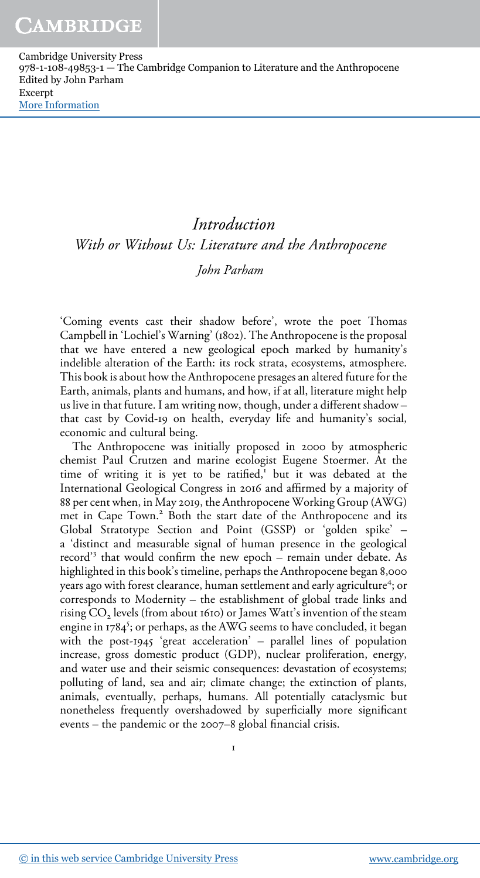# Introduction With or Without Us: Literature and the Anthropocene

# John Parham

'Coming events cast their shadow before', wrote the poet Thomas Campbell in 'Lochiel's Warning' (1802). The Anthropocene is the proposal that we have entered a new geological epoch marked by humanity's indelible alteration of the Earth: its rock strata, ecosystems, atmosphere. This book is about how the Anthropocene presages an altered future for the Earth, animals, plants and humans, and how, if at all, literature might help us live in that future. I am writing now, though, under a different shadow – that cast by Covid-19 on health, everyday life and humanity's social, economic and cultural being.

The Anthropocene was initially proposed in 2000 by atmospheric chemist Paul Crutzen and marine ecologist Eugene Stoermer. At the time of writing it is yet to be ratified, $\frac{1}{1}$  but it was debated at the International Geological Congress in 2016 and affirmed by a majority of 88 per cent when, in May 2019, the Anthropocene Working Group (AWG) met in Cape Town.<sup>2</sup> Both the start date of the Anthropocene and its Global Stratotype Section and Point (GSSP) or 'golden spike' – a 'distinct and measurable signal of human presence in the geological record' 3 that would confirm the new epoch – remain under debate. As highlighted in this book's timeline, perhaps the Anthropocene began 8,000 years ago with forest clearance, human settlement and early agriculture<sup>4</sup>; or corresponds to Modernity – the establishment of global trade links and rising  $\mathrm{\tilde{CO}}_2$  levels (from about 1610) or James Watt's invention of the steam engine in 1784<sup>5</sup>; or perhaps, as the AWG seems to have concluded, it began with the post-1945 'great acceleration' – parallel lines of population increase, gross domestic product (GDP), nuclear proliferation, energy, and water use and their seismic consequences: devastation of ecosystems; polluting of land, sea and air; climate change; the extinction of plants, animals, eventually, perhaps, humans. All potentially cataclysmic but nonetheless frequently overshadowed by superficially more significant events – the pandemic or the 2007–8 global financial crisis.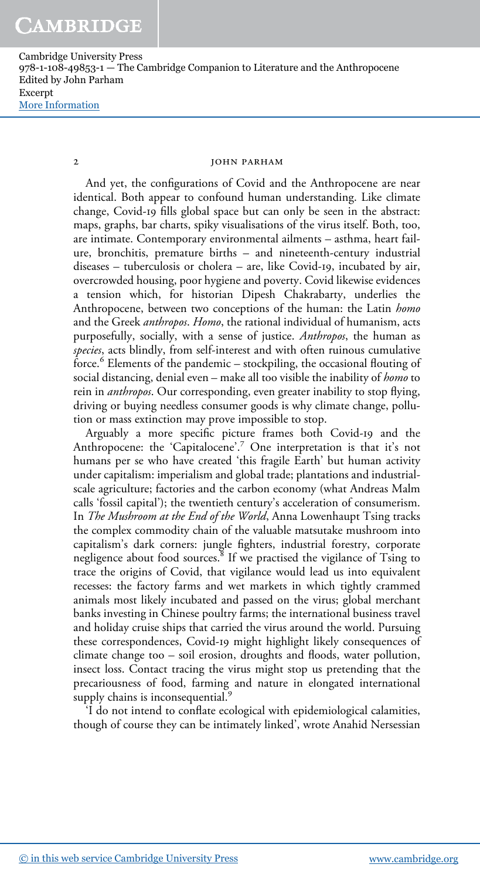#### 2 **jOHN PARHAM**

And yet, the configurations of Covid and the Anthropocene are near identical. Both appear to confound human understanding. Like climate change, Covid-19 fills global space but can only be seen in the abstract: maps, graphs, bar charts, spiky visualisations of the virus itself. Both, too, are intimate. Contemporary environmental ailments – asthma, heart failure, bronchitis, premature births – and nineteenth-century industrial diseases – tuberculosis or cholera – are, like Covid-19, incubated by air, overcrowded housing, poor hygiene and poverty. Covid likewise evidences a tension which, for historian Dipesh Chakrabarty, underlies the Anthropocene, between two conceptions of the human: the Latin homo and the Greek *anthropos. Homo*, the rational individual of humanism, acts purposefully, socially, with a sense of justice. Anthropos, the human as species, acts blindly, from self-interest and with often ruinous cumulative force.<sup>6</sup> Elements of the pandemic – stockpiling, the occasional flouting of social distancing, denial even – make all too visible the inability of *homo* to rein in *anthropos*. Our corresponding, even greater inability to stop flying, driving or buying needless consumer goods is why climate change, pollution or mass extinction may prove impossible to stop.

Arguably a more specific picture frames both Covid-19 and the Anthropocene: the 'Capitalocene'. <sup>7</sup> One interpretation is that it's not humans per se who have created 'this fragile Earth' but human activity under capitalism: imperialism and global trade; plantations and industrialscale agriculture; factories and the carbon economy (what Andreas Malm calls 'fossil capital'); the twentieth century's acceleration of consumerism. In *The Mushroom at the End of the World*, Anna Lowenhaupt Tsing tracks the complex commodity chain of the valuable matsutake mushroom into capitalism's dark corners: jungle fighters, industrial forestry, corporate negligence about food sources.<sup>8</sup> If we practised the vigilance of Tsing to trace the origins of Covid, that vigilance would lead us into equivalent recesses: the factory farms and wet markets in which tightly crammed animals most likely incubated and passed on the virus; global merchant banks investing in Chinese poultry farms; the international business travel and holiday cruise ships that carried the virus around the world. Pursuing these correspondences, Covid-19 might highlight likely consequences of climate change too – soil erosion, droughts and floods, water pollution, insect loss. Contact tracing the virus might stop us pretending that the precariousness of food, farming and nature in elongated international supply chains is inconsequential.<sup>9</sup>

'I do not intend to conflate ecological with epidemiological calamities, though of course they can be intimately linked', wrote Anahid Nersessian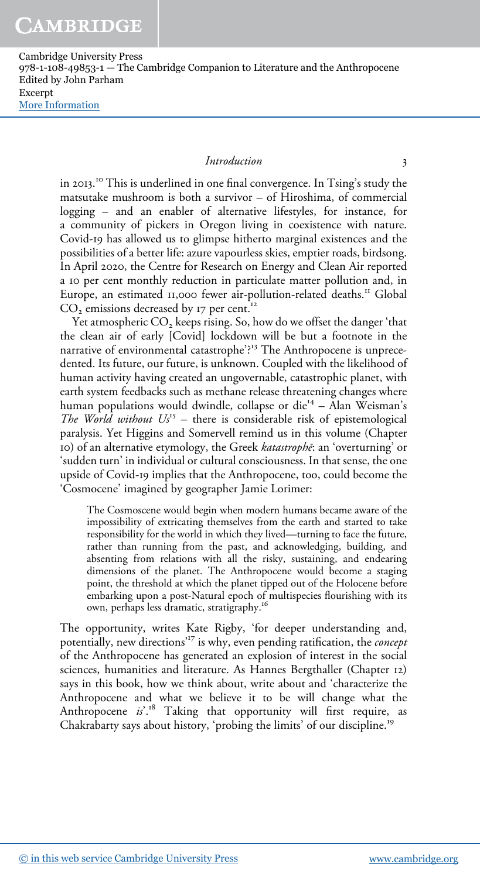## Introduction 3

in 2013. <sup>10</sup> This is underlined in one final convergence. In Tsing's study the matsutake mushroom is both a survivor – of Hiroshima, of commercial logging – and an enabler of alternative lifestyles, for instance, for a community of pickers in Oregon living in coexistence with nature. Covid-19 has allowed us to glimpse hitherto marginal existences and the possibilities of a better life: azure vapourless skies, emptier roads, birdsong. In April 2020, the Centre for Research on Energy and Clean Air reported a 10 per cent monthly reduction in particulate matter pollution and, in Europe, an estimated 11,000 fewer air-pollution-related deaths.<sup>11</sup> Global CO<sub>2</sub> emissions decreased by 17 per cent.<sup>12</sup>

Yet atmospheric CO<sub>2</sub> keeps rising. So, how do we offset the danger 'that the clean air of early [Covid] lockdown will be but a footnote in the narrative of environmental catastrophe'?<sup>13</sup> The Anthropocene is unprecedented. Its future, our future, is unknown. Coupled with the likelihood of human activity having created an ungovernable, catastrophic planet, with earth system feedbacks such as methane release threatening changes where human populations would dwindle, collapse or die<sup>14</sup> – Alan Weisman's The World without  $Us^{15}$  – there is considerable risk of epistemological paralysis. Yet Higgins and Somervell remind us in this volume (Chapter 10) of an alternative etymology, the Greek katastrophē: an 'overturning' or 'sudden turn' in individual or cultural consciousness. In that sense, the one upside of Covid-19 implies that the Anthropocene, too, could become the 'Cosmocene' imagined by geographer Jamie Lorimer:

The Cosmoscene would begin when modern humans became aware of the impossibility of extricating themselves from the earth and started to take responsibility for the world in which they lived—turning to face the future, rather than running from the past, and acknowledging, building, and absenting from relations with all the risky, sustaining, and endearing dimensions of the planet. The Anthropocene would become a staging point, the threshold at which the planet tipped out of the Holocene before embarking upon a post-Natural epoch of multispecies flourishing with its own, perhaps less dramatic, stratigraphy.<sup>16</sup>

The opportunity, writes Kate Rigby, 'for deeper understanding and, potentially, new directions<sup>17</sup> is why, even pending ratification, the *concept* of the Anthropocene has generated an explosion of interest in the social sciences, humanities and literature. As Hannes Bergthaller (Chapter 12) says in this book, how we think about, write about and 'characterize the Anthropocene and what we believe it to be will change what the Anthropocene  $is^{\cdot 18}$  Taking that opportunity will first require, as Chakrabarty says about history, 'probing the limits' of our discipline.<sup>19</sup>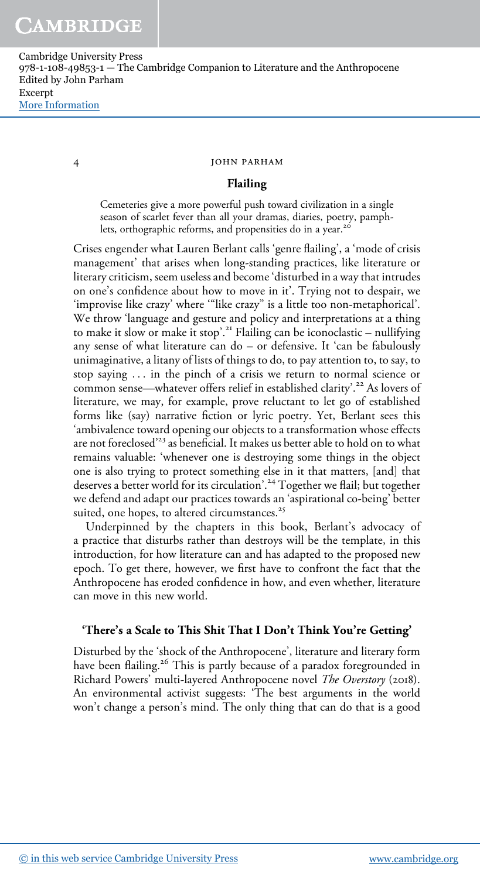#### 4 john parham

# Flailing

Cemeteries give a more powerful push toward civilization in a single season of scarlet fever than all your dramas, diaries, poetry, pamphlets, orthographic reforms, and propensities do in a year.<sup>20</sup>

Crises engender what Lauren Berlant calls 'genre flailing', a 'mode of crisis management' that arises when long-standing practices, like literature or literary criticism, seem useless and become'disturbed in a way that intrudes on one's confidence about how to move in it'. Trying not to despair, we 'improvise like crazy' where '"like crazy" is a little too non-metaphorical'. We throw 'language and gesture and policy and interpretations at a thing to make it slow or make it stop'. <sup>21</sup> Flailing can be iconoclastic – nullifying any sense of what literature can do – or defensive. It 'can be fabulously unimaginative, a litany of lists of things to do, to pay attention to, to say, to stop saying ... in the pinch of a crisis we return to normal science or common sense—whatever offers relief in established clarity'. <sup>22</sup> As lovers of literature, we may, for example, prove reluctant to let go of established forms like (say) narrative fiction or lyric poetry. Yet, Berlant sees this 'ambivalence toward opening our objects to a transformation whose effects are not foreclosed' <sup>23</sup> as beneficial. It makes us better able to hold on to what remains valuable: 'whenever one is destroying some things in the object one is also trying to protect something else in it that matters, [and] that deserves a better world for its circulation'. <sup>24</sup> Together we flail; but together we defend and adapt our practices towards an 'aspirational co-being' better suited, one hopes, to altered circumstances.<sup>25</sup>

Underpinned by the chapters in this book, Berlant's advocacy of a practice that disturbs rather than destroys will be the template, in this introduction, for how literature can and has adapted to the proposed new epoch. To get there, however, we first have to confront the fact that the Anthropocene has eroded confidence in how, and even whether, literature can move in this new world.

# 'There's a Scale to This Shit That I Don't Think You're Getting'

Disturbed by the 'shock of the Anthropocene', literature and literary form have been flailing.<sup>26</sup> This is partly because of a paradox foregrounded in Richard Powers' multi-layered Anthropocene novel The Overstory (2018). An environmental activist suggests: 'The best arguments in the world won't change a person's mind. The only thing that can do that is a good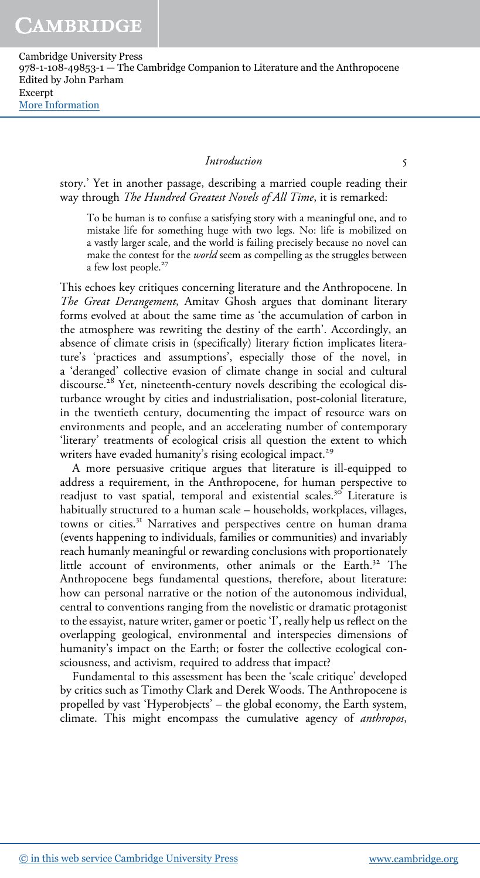## Introduction 5

story.' Yet in another passage, describing a married couple reading their way through The Hundred Greatest Novels of All Time, it is remarked:

To be human is to confuse a satisfying story with a meaningful one, and to mistake life for something huge with two legs. No: life is mobilized on a vastly larger scale, and the world is failing precisely because no novel can make the contest for the *world* seem as compelling as the struggles between a few lost people.<sup>27</sup>

This echoes key critiques concerning literature and the Anthropocene. In The Great Derangement, Amitav Ghosh argues that dominant literary forms evolved at about the same time as 'the accumulation of carbon in the atmosphere was rewriting the destiny of the earth'. Accordingly, an absence of climate crisis in (specifically) literary fiction implicates literature's 'practices and assumptions', especially those of the novel, in a 'deranged' collective evasion of climate change in social and cultural discourse.<sup>28</sup> Yet, nineteenth-century novels describing the ecological disturbance wrought by cities and industrialisation, post-colonial literature, in the twentieth century, documenting the impact of resource wars on environments and people, and an accelerating number of contemporary 'literary' treatments of ecological crisis all question the extent to which writers have evaded humanity's rising ecological impact.<sup>29</sup>

A more persuasive critique argues that literature is ill-equipped to address a requirement, in the Anthropocene, for human perspective to readjust to vast spatial, temporal and existential scales.<sup>30</sup> Literature is habitually structured to a human scale – households, workplaces, villages, towns or cities.<sup>31</sup> Narratives and perspectives centre on human drama (events happening to individuals, families or communities) and invariably reach humanly meaningful or rewarding conclusions with proportionately little account of environments, other animals or the Earth.<sup>32</sup> The Anthropocene begs fundamental questions, therefore, about literature: how can personal narrative or the notion of the autonomous individual, central to conventions ranging from the novelistic or dramatic protagonist to the essayist, nature writer, gamer or poetic 'I', really help us reflect on the overlapping geological, environmental and interspecies dimensions of humanity's impact on the Earth; or foster the collective ecological consciousness, and activism, required to address that impact?

Fundamental to this assessment has been the 'scale critique' developed by critics such as Timothy Clark and Derek Woods. The Anthropocene is propelled by vast 'Hyperobjects' – the global economy, the Earth system, climate. This might encompass the cumulative agency of anthropos,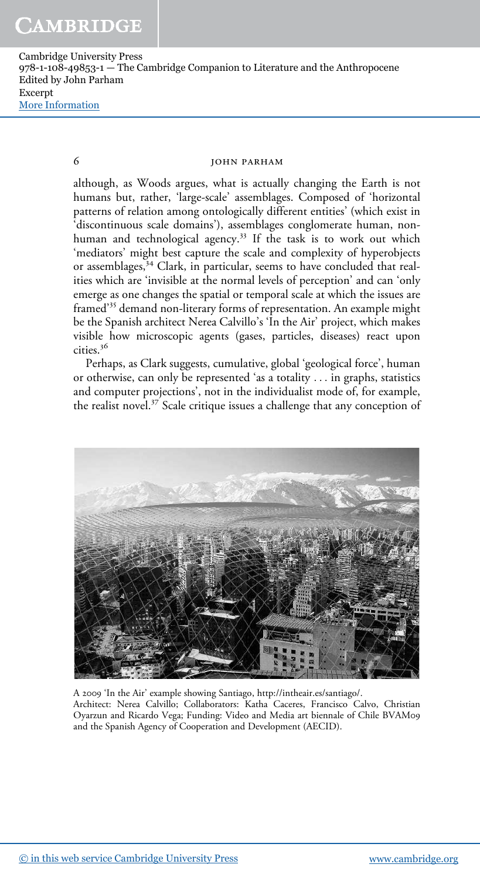## 6 john parham

although, as Woods argues, what is actually changing the Earth is not humans but, rather, 'large-scale' assemblages. Composed of 'horizontal patterns of relation among ontologically different entities' (which exist in 'discontinuous scale domains'), assemblages conglomerate human, nonhuman and technological agency.<sup>33</sup> If the task is to work out which 'mediators' might best capture the scale and complexity of hyperobjects or assemblages,<sup>34</sup> Clark, in particular, seems to have concluded that realities which are 'invisible at the normal levels of perception' and can 'only emerge as one changes the spatial or temporal scale at which the issues are framed' <sup>35</sup> demand non-literary forms of representation. An example might be the Spanish architect Nerea Calvillo's 'In the Air' project, which makes visible how microscopic agents (gases, particles, diseases) react upon cities.<sup>36</sup>

Perhaps, as Clark suggests, cumulative, global 'geological force', human or otherwise, can only be represented 'as a totality ... in graphs, statistics and computer projections', not in the individualist mode of, for example, the realist novel.<sup>37</sup> Scale critique issues a challenge that any conception of



A 2009 'In the Air' example showing Santiago, http://intheair.es/santiago/. Architect: Nerea Calvillo; Collaborators: Katha Caceres, Francisco Calvo, Christian Oyarzun and Ricardo Vega; Funding: Video and Media art biennale of Chile BVAM09 and the Spanish Agency of Cooperation and Development (AECID).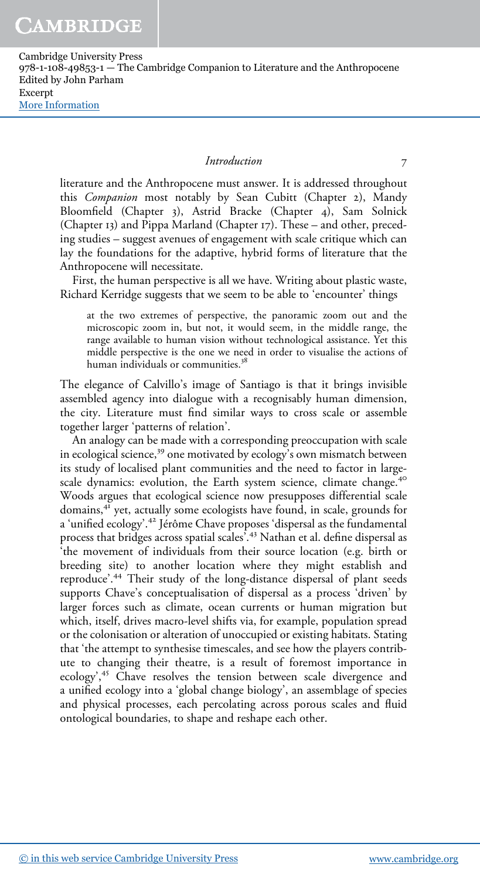#### Introduction 7

literature and the Anthropocene must answer. It is addressed throughout this Companion most notably by Sean Cubitt (Chapter 2), Mandy Bloomfield (Chapter 3), Astrid Bracke (Chapter 4), Sam Solnick (Chapter 13) and Pippa Marland (Chapter 17). These – and other, preceding studies – suggest avenues of engagement with scale critique which can lay the foundations for the adaptive, hybrid forms of literature that the Anthropocene will necessitate.

First, the human perspective is all we have. Writing about plastic waste, Richard Kerridge suggests that we seem to be able to 'encounter' things

at the two extremes of perspective, the panoramic zoom out and the microscopic zoom in, but not, it would seem, in the middle range, the range available to human vision without technological assistance. Yet this middle perspective is the one we need in order to visualise the actions of human individuals or communities.<sup>38</sup>

The elegance of Calvillo's image of Santiago is that it brings invisible assembled agency into dialogue with a recognisably human dimension, the city. Literature must find similar ways to cross scale or assemble together larger 'patterns of relation'.

An analogy can be made with a corresponding preoccupation with scale in ecological science,<sup>39</sup> one motivated by ecology's own mismatch between its study of localised plant communities and the need to factor in largescale dynamics: evolution, the Earth system science, climate change.<sup>40</sup> Woods argues that ecological science now presupposes differential scale domains,<sup>41</sup> yet, actually some ecologists have found, in scale, grounds for a 'unified ecology'. <sup>42</sup> Jérôme Chave proposes 'dispersal as the fundamental process that bridges across spatial scales'. <sup>43</sup> Nathan et al. define dispersal as 'the movement of individuals from their source location (e.g. birth or breeding site) to another location where they might establish and reproduce'. <sup>44</sup> Their study of the long-distance dispersal of plant seeds supports Chave's conceptualisation of dispersal as a process 'driven' by larger forces such as climate, ocean currents or human migration but which, itself, drives macro-level shifts via, for example, population spread or the colonisation or alteration of unoccupied or existing habitats. Stating that 'the attempt to synthesise timescales, and see how the players contribute to changing their theatre, is a result of foremost importance in ecology',<sup>45</sup> Chave resolves the tension between scale divergence and a unified ecology into a 'global change biology', an assemblage of species and physical processes, each percolating across porous scales and fluid ontological boundaries, to shape and reshape each other.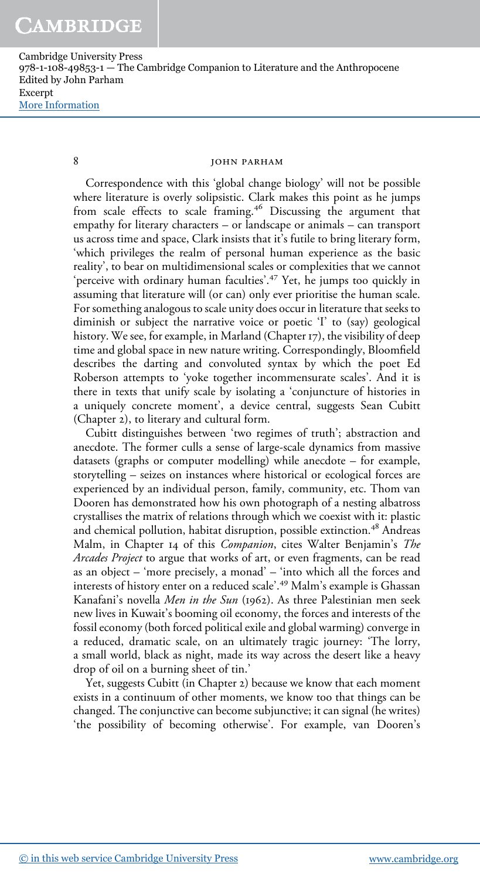### 8 **jOHN PARHAM**

Correspondence with this 'global change biology' will not be possible where literature is overly solipsistic. Clark makes this point as he jumps from scale effects to scale framing.<sup>46</sup> Discussing the argument that empathy for literary characters – or landscape or animals – can transport us across time and space, Clark insists that it's futile to bring literary form, 'which privileges the realm of personal human experience as the basic reality', to bear on multidimensional scales or complexities that we cannot 'perceive with ordinary human faculties'. <sup>47</sup> Yet, he jumps too quickly in assuming that literature will (or can) only ever prioritise the human scale. For something analogous to scale unity does occur in literature that seeks to diminish or subject the narrative voice or poetic 'I' to (say) geological history. We see, for example, in Marland (Chapter 17), the visibility of deep time and global space in new nature writing. Correspondingly, Bloomfield describes the darting and convoluted syntax by which the poet Ed Roberson attempts to 'yoke together incommensurate scales'. And it is there in texts that unify scale by isolating a 'conjuncture of histories in a uniquely concrete moment', a device central, suggests Sean Cubitt (Chapter 2), to literary and cultural form.

Cubitt distinguishes between 'two regimes of truth'; abstraction and anecdote. The former culls a sense of large-scale dynamics from massive datasets (graphs or computer modelling) while anecdote – for example, storytelling – seizes on instances where historical or ecological forces are experienced by an individual person, family, community, etc. Thom van Dooren has demonstrated how his own photograph of a nesting albatross crystallises the matrix of relations through which we coexist with it: plastic and chemical pollution, habitat disruption, possible extinction.<sup>48</sup> Andreas Malm, in Chapter 14 of this Companion, cites Walter Benjamin's The Arcades Project to argue that works of art, or even fragments, can be read as an object – 'more precisely, a monad'–'into which all the forces and interests of history enter on a reduced scale'. <sup>49</sup> Malm's example is Ghassan Kanafani's novella Men in the Sun (1962). As three Palestinian men seek new lives in Kuwait's booming oil economy, the forces and interests of the fossil economy (both forced political exile and global warming) converge in a reduced, dramatic scale, on an ultimately tragic journey: 'The lorry, a small world, black as night, made its way across the desert like a heavy drop of oil on a burning sheet of tin.'

Yet, suggests Cubitt (in Chapter 2) because we know that each moment exists in a continuum of other moments, we know too that things can be changed. The conjunctive can become subjunctive; it can signal (he writes) 'the possibility of becoming otherwise'. For example, van Dooren's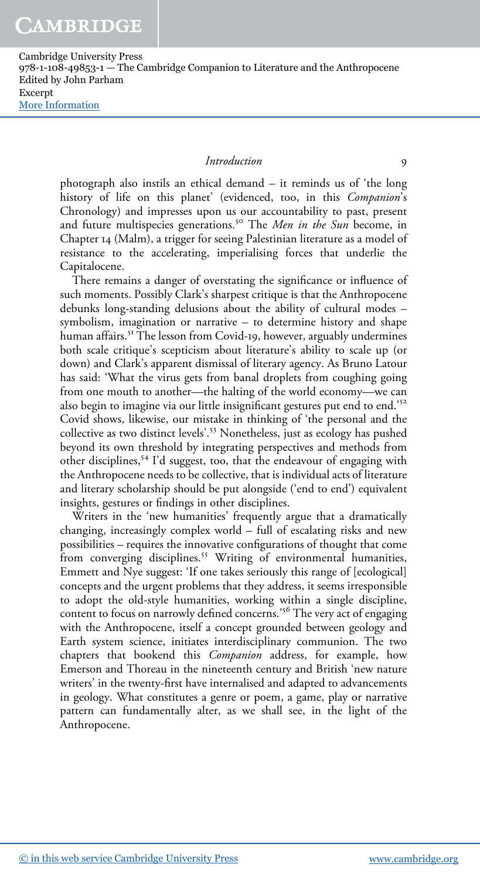#### Introduction 9

photograph also instils an ethical demand – it reminds us of 'the long history of life on this planet' (evidenced, too, in this Companion's Chronology) and impresses upon us our accountability to past, present and future multispecies generations.<sup>50</sup> The Men in the Sun become, in Chapter 14 (Malm), a trigger for seeing Palestinian literature as a model of resistance to the accelerating, imperialising forces that underlie the Capitalocene.

There remains a danger of overstating the significance or influence of such moments. Possibly Clark's sharpest critique is that the Anthropocene debunks long-standing delusions about the ability of cultural modes – symbolism, imagination or narrative – to determine history and shape human affairs.<sup>51</sup> The lesson from Covid-19, however, arguably undermines both scale critique's scepticism about literature's ability to scale up (or down) and Clark's apparent dismissal of literary agency. As Bruno Latour has said: 'What the virus gets from banal droplets from coughing going from one mouth to another—the halting of the world economy—we can also begin to imagine via our little insignificant gestures put end to end.'<sup>52</sup> Covid shows, likewise, our mistake in thinking of 'the personal and the collective as two distinct levels'. <sup>53</sup> Nonetheless, just as ecology has pushed beyond its own threshold by integrating perspectives and methods from other disciplines,<sup>54</sup> I'd suggest, too, that the endeavour of engaging with the Anthropocene needs to be collective, that is individual acts of literature and literary scholarship should be put alongside ('end to end') equivalent insights, gestures or findings in other disciplines.

Writers in the 'new humanities' frequently argue that a dramatically changing, increasingly complex world – full of escalating risks and new possibilities – requires the innovative configurations of thought that come from converging disciplines.<sup>55</sup> Writing of environmental humanities, Emmett and Nye suggest: 'If one takes seriously this range of [ecological] concepts and the urgent problems that they address, it seems irresponsible to adopt the old-style humanities, working within a single discipline, content to focus on narrowly defined concerns.' <sup>56</sup> The very act of engaging with the Anthropocene, itself a concept grounded between geology and Earth system science, initiates interdisciplinary communion. The two chapters that bookend this Companion address, for example, how Emerson and Thoreau in the nineteenth century and British 'new nature writers' in the twenty-first have internalised and adapted to advancements in geology. What constitutes a genre or poem, a game, play or narrative pattern can fundamentally alter, as we shall see, in the light of the Anthropocene.